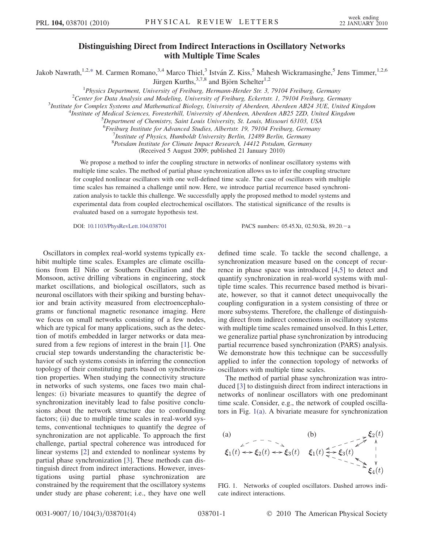## Distinguishing Direct from Indirect Interactions in Oscillatory Networks with Multiple Time Scales

<span id="page-0-1"></span>Jakob Nawrath,<sup>1,2,[\\*](#page-3-0)</sup> M. Carmen Romano,<sup>3,4</sup> Marco Thiel,<sup>3</sup> István Z. Kiss,<sup>5</sup> Mahesh Wickramasinghe,<sup>5</sup> Jens Timmer,<sup>1,2,6</sup> Jürgen Kurths,  $3,7,8$  and Björn Schelter<sup>1,2</sup>

<sup>1</sup>Physics Department, University of Freiburg, Hermann-Herder Str. 3, 79104 Freiburg, Germany<br><sup>2</sup>Center for Data Anglysis and Modeling, University of Freiburg, Eckertstr. 1, 70104 Freiburg, Germ <sup>2</sup>Center for Data Analysis and Modeling, University of Freiburg, Eckertstr. 1, 79104 Freiburg, Germany

<sup>3</sup>Institute for Complex Systems and Mathematical Biology, University of Aberdeen, Aberdeen AB24 3UE, United Kingdom

<sup>4</sup>Institute of Medical Sciences, Foresterhill, University of Aberdeen, Aberdeen AB25 2ZD, United Kingdom

 ${}^{5}$ Department of Chemistry, Saint Louis University, St. Louis, Missouri 63103, USA

<sup>6</sup> Freiburg Institute for Advanced Studies, Albertstr. 19, 79104 Freiburg, Germany

 $^{7}$ Institute of Physics, Humboldt University Berlin, 12489 Berlin, Germany

8 Potsdam Institute for Climate Impact Research, 14412 Potsdam, Germany

(Received 5 August 2009; published 21 January 2010)

We propose a method to infer the coupling structure in networks of nonlinear oscillatory systems with multiple time scales. The method of partial phase synchronization allows us to infer the coupling structure for coupled nonlinear oscillators with one well-defined time scale. The case of oscillators with multiple time scales has remained a challenge until now. Here, we introduce partial recurrence based synchronization analysis to tackle this challenge. We successfully apply the proposed method to model systems and experimental data from coupled electrochemical oscillators. The statistical significance of the results is evaluated based on a surrogate hypothesis test.

DOI: [10.1103/PhysRevLett.104.038701](http://dx.doi.org/10.1103/PhysRevLett.104.038701) PACS numbers: 05.45.Xt, 02.50.Sk, 89.20. - a

Oscillators in complex real-world systems typically exhibit multiple time scales. Examples are climate oscillations from El Niño or Southern Oscillation and the Monsoon, active drilling vibrations in engineering, stock market oscillations, and biological oscillators, such as neuronal oscillators with their spiking and bursting behavior and brain activity measured from electroencephalograms or functional magnetic resonance imaging. Here we focus on small networks consisting of a few nodes, which are typical for many applications, such as the detection of motifs embedded in larger networks or data measured from a few regions of interest in the brain [[1](#page-3-1)]. One crucial step towards understanding the characteristic behavior of such systems consists in inferring the connection topology of their constituting parts based on synchronization properties. When studying the connectivity structure in networks of such systems, one faces two main challenges: (i) bivariate measures to quantify the degree of synchronization inevitably lead to false positive conclusions about the network structure due to confounding factors; (ii) due to multiple time scales in real-world systems, conventional techniques to quantify the degree of synchronization are not applicable. To approach the first challenge, partial spectral coherence was introduced for linear systems [\[2\]](#page-3-2) and extended to nonlinear systems by partial phase synchronization [\[3\]](#page-3-3). These methods can distinguish direct from indirect interactions. However, investigations using partial phase synchronization are constrained by the requirement that the oscillatory systems under study are phase coherent; i.e., they have one well

defined time scale. To tackle the second challenge, a synchronization measure based on the concept of recurrence in phase space was introduced [[4](#page-3-4)[,5\]](#page-3-5) to detect and quantify synchronization in real-world systems with multiple time scales. This recurrence based method is bivariate, however, so that it cannot detect unequivocally the coupling configuration in a system consisting of three or more subsystems. Therefore, the challenge of distinguishing direct from indirect connections in oscillatory systems with multiple time scales remained unsolved. In this Letter, we generalize partial phase synchronization by introducing partial recurrence based synchronization (PARS) analysis. We demonstrate how this technique can be successfully applied to infer the connection topology of networks of oscillators with multiple time scales.

The method of partial phase synchronization was introduced [\[3](#page-3-3)] to distinguish direct from indirect interactions in networks of nonlinear oscillators with one predominant time scale. Consider, e.g., the network of coupled oscillators in Fig. [1\(a\)](#page-0-0). A bivariate measure for synchronization

(a)  
\n
$$
\xi_1(t) \leftrightarrow \xi_2(t) \leftrightarrow \xi_3(t)
$$
\n(b)  
\n
$$
\xi_1(t) \leftrightarrow \xi_2(t) \leftrightarrow \xi_3(t)
$$
\n
$$
\xi_1(t) \leftrightarrow \xi_3(t)
$$
\n
$$
\xi_1(t) \leftrightarrow \xi_2(t)
$$
\n
$$
\xi_2(t) \leftrightarrow \xi_3(t)
$$
\n
$$
\xi_1(t) \leftrightarrow \xi_2(t)
$$

<span id="page-0-0"></span>FIG. 1. Networks of coupled oscillators. Dashed arrows indicate indirect interactions.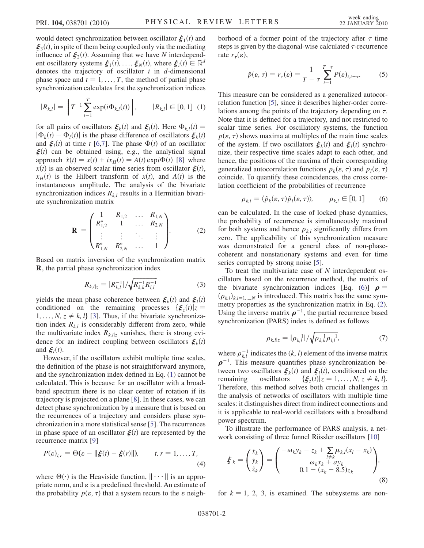would detect synchronization between oscillator  $\xi_1(t)$  and  $\xi_3(t)$ , in spite of them being coupled only via the mediating influence of  $\xi_2(t)$ . Assuming that we have N interdependent oscillatory systems  $\xi_1(t), \ldots, \xi_N(t)$ , where  $\xi_i(t) \in \mathbb{R}^d$ denotes the trajectory of oscillator  $i$  in  $d$ -dimensional phase space and  $t = 1, \ldots, T$ , the method of partial phase synchronization calculates first the synchronization indices

<span id="page-1-0"></span>
$$
|R_{k,l}| = \left| T^{-1} \sum_{t=1}^{T} \exp(i\Phi_{k,l}(t)) \right|, \qquad |R_{k,l}| \in [0, 1] \tag{1}
$$

for all pairs of oscillators  $\xi_k(t)$  and  $\xi_l(t)$ . Here  $\Phi_{k,l}(t) =$  $|\Phi_k(t) - \Phi_l(t)|$  is the phase difference of oscillators  $\xi_k(t)$ and  $\zeta_1(t)$  at time t [[6](#page-3-6)[,7\]](#page-3-7). The phase  $\Phi(t)$  of an oscillator  $\xi(t)$  can be obtained using, e.g., the analytical signal approach  $\tilde{x}(t) = x(t) + i x_H(t) = A(t) \exp(i\Phi(t)$  [\[8](#page-3-8)] where  $x(t)$  is an observed scalar time series from oscillator  $\xi(t)$ ,  $x_H(t)$  is the Hilbert transform of  $x(t)$ , and  $A(t)$  is the instantaneous amplitude. The analysis of the bivariate synchronization indices  $R_{k,l}$  results in a Hermitian bivariate synchronization matrix

<span id="page-1-2"></span>
$$
\mathbf{R} = \begin{pmatrix} 1 & R_{1,2} & \dots & R_{1,N} \\ R_{1,2}^* & 1 & \dots & R_{2,N} \\ \vdots & \vdots & \ddots & \vdots \\ R_{1,N}^* & R_{2,N}^* & \dots & 1 \end{pmatrix}.
$$
 (2)

Based on matrix inversion of the synchronization matrix R, the partial phase synchronization index

$$
R_{k,l|z} = |R_{k,l}^{-1}| / \sqrt{R_{k,k}^{-1} R_{l,l}^{-1}}
$$
 (3)

yields the mean phase coherence between  $\xi_k(t)$  and  $\xi_l(t)$ conditioned on the remaining processes  $\{\xi_z(t)|z =$  $1, \ldots, N, z \neq k, l$  [[3](#page-3-3)]. Thus, if the bivariate synchronization index  $R_{k,l}$  is considerably different from zero, while the multivariate index  $R_{k,l|z}$  vanishes, there is strong evidence for an indirect coupling between oscillators  $\xi_k(t)$ and  $\boldsymbol{\xi}_l(t)$ .

However, if the oscillators exhibit multiple time scales, the definition of the phase is not straightforward anymore, and the synchronization index defined in Eq. [\(1](#page-1-0)) cannot be calculated. This is because for an oscillator with a broadband spectrum there is no clear center of rotation if its trajectory is projected on a plane [[8](#page-3-8)]. In these cases, we can detect phase synchronization by a measure that is based on the recurrences of a trajectory and considers phase synchronization in a more statistical sense [[5](#page-3-5)]. The recurrences in phase space of an oscillator  $\mathcal{E}(t)$  are represented by the recurrence matrix [\[9\]](#page-3-9)

$$
P(\varepsilon)_{t,r} = \Theta(\varepsilon - ||\xi(t) - \xi(r)||), \qquad t, r = 1, ..., T,
$$
\n(4)

where  $\Theta(\cdot)$  is the Heaviside function,  $\|\cdot\cdot\cdot\|$  is an appro-<br>priate norm, and  $\varepsilon$  is a predefined threshold. An estimate of priate norm, and  $\varepsilon$  is a predefined threshold. An estimate of the probability  $p(\varepsilon, \tau)$  that a system recurs to the  $\varepsilon$  neigh<span id="page-1-3"></span>borhood of a former point of the trajectory after  $\tau$  time steps is given by the diagonal-wise calculated  $\tau$ -recurrence rate  $r_\tau(\varepsilon)$ ,

$$
\hat{p}(\varepsilon,\tau) = r_{\tau}(\varepsilon) = \frac{1}{T-\tau} \sum_{t=1}^{T-\tau} P(\varepsilon)_{t,t+\tau}.
$$
 (5)

This measure can be considered as a generalized autocorrelation function [\[5](#page-3-5)], since it describes higher-order correlations among the points of the trajectory depending on  $\tau$ . Note that it is defined for a trajectory, and not restricted to scalar time series. For oscillatory systems, the function  $p(\varepsilon, \tau)$  shows maxima at multiples of the main time scales of the system. If two oscillators  $\xi_k(t)$  and  $\xi_l(t)$  synchronize, their respective time scales adapt to each other, and hence, the positions of the maxima of their corresponding generalized autocorrelation functions  $p_k(\varepsilon, \tau)$  and  $p_l(\varepsilon, \tau)$ coincide. To quantify these coincidences, the cross correlation coefficient of the probabilities of recurrence

$$
\rho_{k,l} = \langle \hat{p}_k(\varepsilon, \tau) \hat{p}_l(\varepsilon, \tau) \rangle, \qquad \rho_{k,l} \in [0, 1] \qquad (6)
$$

<span id="page-1-1"></span>can be calculated. In the case of locked phase dynamics, the probability of recurrence is simultaneously maximal for both systems and hence  $\rho_{k,l}$  significantly differs from zero. The applicability of this synchronization measure was demonstrated for a general class of non-phasecoherent and nonstationary systems and even for time series corrupted by strong noise [\[5\]](#page-3-5).

To treat the multivariate case of N interdependent oscillators based on the recurrence method, the matrix of the bivariate synchronization indices [Eq. [\(6\)](#page-1-1)]  $\rho =$  $(\rho_{k,l})_{k,l=1,\dots,N}$  is introduced. This matrix has the same sym-<br>metry properties as the synchronization matrix in Eq. (2) metry properties as the synchronization matrix in Eq. ([2\)](#page-1-2). Using the inverse matrix  $\rho^{-1}$ , the partial recurrence based synchronization (PARS) index is defined as follows

$$
\rho_{k,l|z} = |\rho_{k,l}^{-1}| / \sqrt{\rho_{k,k}^{-1} \rho_{l,l}^{-1}},
$$
\n(7)

<span id="page-1-4"></span>where  $\rho_{k,l}^{-1}$  indicates the  $(k, l)$  element of the inverse matrix  $\rho^{-1}$ . This measure quantifies phase synchronization between two oscillators  $\xi_k(t)$  and  $\xi_l(t)$ , conditioned on the remaining oscillators  $\{\xi_z(t)|z=1,\dots,N, z \neq k, l\}$ . remaining oscillators  $\{\xi_z(t)|z = 1, ..., N, z \neq k, l\}$ .<br>Therefore, this method solves both crucial challenges in the analysis of networks of oscillators with multiple time scales: it distinguishes direct from indirect connections and it is applicable to real-world oscillators with a broadband power spectrum.

To illustrate the performance of PARS analysis, a net-work consisting of three funnel Rössler oscillators [[10\]](#page-3-10)

$$
\dot{\xi}_k = \begin{pmatrix} \dot{x}_k \\ \dot{y}_k \\ \dot{z}_k \end{pmatrix} = \begin{pmatrix} -\omega_k y_k - z_k + \sum_{l \neq k} \mu_{k,l} (x_l - x_k) \\ \omega_k x_k + a y_k \\ 0.1 - (x_k - 8.5) z_k \end{pmatrix},
$$
(8)

for  $k = 1, 2, 3$ , is examined. The subsystems are non-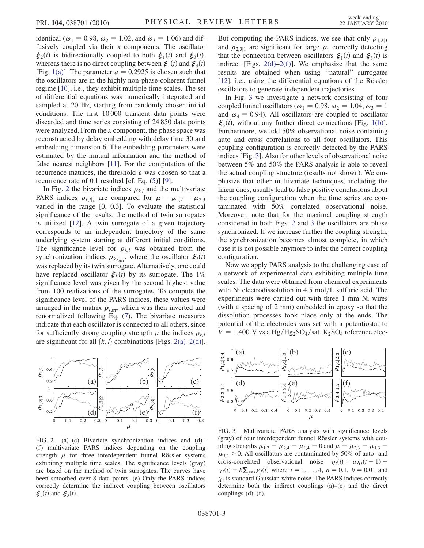identical ( $\omega_1 = 0.98$ ,  $\omega_2 = 1.02$ , and  $\omega_3 = 1.06$ ) and diffusively coupled via their  $x$  components. The oscillator  $\zeta_2(t)$  is bidirectionally coupled to both  $\zeta_1(t)$  and  $\zeta_3(t)$ , whereas there is no direct coupling between  $\xi_1(t)$  and  $\xi_3(t)$ [Fig. [1\(a\)\]](#page-0-0). The parameter  $a = 0.2925$  is chosen such that the oscillators are in the highly non-phase-coherent funnel regime [\[10\]](#page-3-10); i.e., they exhibit multiple time scales. The set of differential equations was numerically integrated and sampled at 20 Hz, starting from randomly chosen initial conditions. The first 10 000 transient data points were discarded and time series consisting of 24 850 data points were analyzed. From the  $x$  component, the phase space was reconstructed by delay embedding with delay time 30 and embedding dimension 6. The embedding parameters were estimated by the mutual information and the method of false nearest neighbors [[11](#page-3-11)]. For the computation of the recurrence matrices, the threshold  $\varepsilon$  was chosen so that a recurrence rate of 0.1 resulted [cf. Eq. ([5\)](#page-1-3)] [\[9\]](#page-3-9).

In Fig. [2](#page-2-0) the bivariate indices  $\rho_{k,l}$  and the multivariate PARS indices  $\rho_{k,l|z}$  are compared for  $\mu = \mu_{1,2} = \mu_{2,3}$ <br>varied in the range 10, 0.31. To evaluate the statistical varied in the range [0, 0.3]. To evaluate the statistical significance of the results, the method of twin surrogates is utilized [[12](#page-3-12)]. A twin surrogate of a given trajectory corresponds to an independent trajectory of the same underlying system starting at different initial conditions. The significance level for  $\rho_{k,l}$  was obtained from the synchronization indices  $\rho_{k,l_{\text{sur}}}$ , where the oscillator  $\xi_l(t)$ <br>was replaced by its twin surrogate. Alternatively, one could was replaced by its twin surrogate. Alternatively, one could have replaced oscillator  $\xi_k(t)$  by its surrogate. The 1% significance level was given by the second highest value from 100 realizations of the surrogates. To compute the significance level of the PARS indices, these values were arranged in the matrix  $\rho_{\text{surr}}$ , which was then inverted and<br>renormalized following Eq. (7). The bivariate measures renormalized following Eq. ([7](#page-1-4)). The bivariate measures indicate that each oscillator is connected to all others, since for sufficiently strong coupling strength  $\mu$  the indices  $\rho_{k,l}$ are significant for all  $\{k, l\}$  combinations [Figs. [2\(a\)](#page-2-1)–[2\(d\)\]](#page-2-1).

<span id="page-2-0"></span>

<span id="page-2-1"></span>FIG. 2. (a)–(c) Bivariate synchronization indices and (d)– (f) multivariate PARS indices depending on the coupling strength  $\mu$  for three interdependent funnel Rössler systems exhibiting multiple time scales. The significance levels (gray) are based on the method of twin surrogates. The curves have been smoothed over 8 data points. (e) Only the PARS indices correctly determine the indirect coupling between oscillators  $\xi_1(t)$  and  $\xi_3(t)$ .

But computing the PARS indices, we see that only  $\rho_{1,2}$ <br>and  $\rho_{1,2}$  are significant for large  $\mu$ , correctly detecting and  $\rho_{2,3|1}$  are significant for large  $\mu$ , correctly detecting<br>that the connection between oscillators  $\xi$  (t) and  $\xi$  (t) is that the connection between oscillators  $\xi_1(t)$  and  $\xi_3(t)$  is indirect [Figs.  $2(d)-2(f)$ ]. We emphasize that the same results are obtained when using ''natural'' surrogates  $[12]$ , i.e., using the differential equations of the Rössler oscillators to generate independent trajectories.

In Fig. [3](#page-2-2) we investigate a network consisting of four coupled funnel oscillators ( $\omega_1 = 0.98$ ,  $\omega_2 = 1.04$ ,  $\omega_3 = 1$ and  $\omega_4 = 0.94$ ). All oscillators are coupled to oscillator  $\xi_3(t)$ , without any further direct connections [Fig. [1\(b\)\]](#page-0-0). Furthermore, we add 50% observational noise containing auto and cross correlations to all four oscillators. This coupling configuration is correctly detected by the PARS indices [Fig. [3](#page-2-2)]. Also for other levels of observational noise between 5% and 50% the PARS analysis is able to reveal the actual coupling structure (results not shown). We emphasize that other multivariate techniques, including the linear ones, usually lead to false positive conclusions about the coupling configuration when the time series are contaminated with 50% correlated observational noise. Moreover, note that for the maximal coupling strength considered in both Figs. [2](#page-2-0) and [3](#page-2-2) the oscillators are phase synchronized. If we increase further the coupling strength, the synchronization becomes almost complete, in which case it is not possible anymore to infer the correct coupling configuration.

Now we apply PARS analysis to the challenging case of a network of experimental data exhibiting multiple time scales. The data were obtained from chemical experiments with Ni electrodissolution in  $4.5 \text{ mol/L}$  sulfuric acid. The experiments were carried out with three 1 mm Ni wires (with a spacing of 2 mm) embedded in epoxy so that the dissolution processes took place only at the ends. The potential of the electrodes was set with a potentiostat to  $V = 1.400$  V vs a Hg/Hg<sub>2</sub>SO<sub>4</sub>/sat. K<sub>2</sub>SO<sub>4</sub> reference elec-

<span id="page-2-2"></span>

FIG. 3. Multivariate PARS analysis with significance levels (gray) of four interdependent funnel Rössler systems with coupling strengths  $\mu_{1,2} = \mu_{2,4} = \mu_{1,4} = 0$  and  $\mu = \mu_{2,3} = \mu_{1,3} = \mu_{1,4}$  $\mu_{3,4} > 0$ . All oscillators are contaminated by 50% of auto- and cross-correlated observational noise  $n_1(t) = a n_1(t-1) + a n_2(t-1)$ cross-correlated observational noise  $\eta_i(t) = a \eta_i(t-1) +$  $\chi_i(t) + b \sum_{j \neq i} \chi_j(t)$  where  $i = 1, ..., 4$ ,  $a = 0.1$ ,  $b = 0.01$  and  $\chi_i$  is standard Gaussian white poise. The PAPS indices correctly  $\chi_i$  is standard Gaussian white noise. The PARS indices correctly determine both the indirect couplings (a)–(c) and the direct couplings  $(d)$ – $(f)$ .